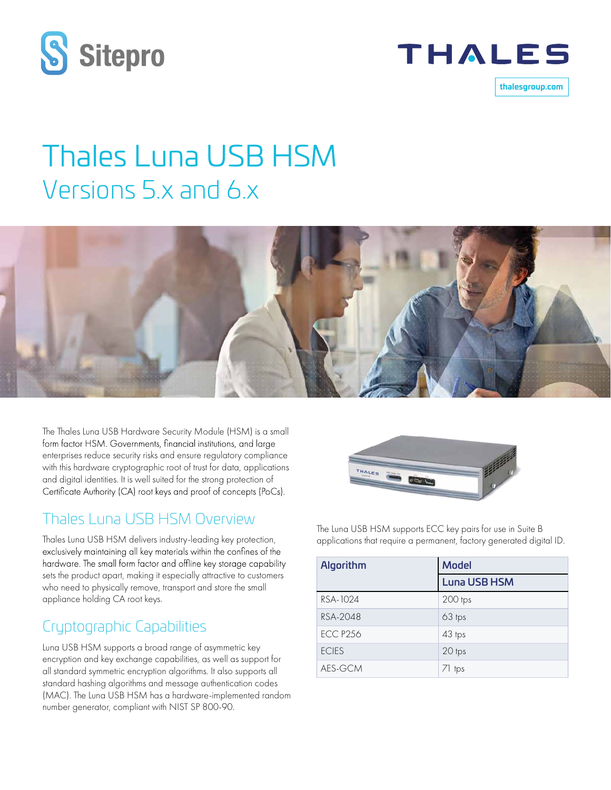



**thalesgroup.com**

# Thales Luna USB HSM Versions 5.x and 6.x



The Thales Luna USB Hardware Security Module (HSM) is a small form factor HSM. Governments, financial institutions, and large enterprises reduce security risks and ensure regulatory compliance with this hardware cryptographic root of trust for data, applications and digital identities. It is well suited for the strong protection of Certificate Authority (CA) root keys and proof of concepts (PoCs).

### Thales Luna USB HSM Overview

Thales Luna USB HSM delivers industry-leading key protection, exclusively maintaining all key materials within the confines of the hardware. The small form factor and offline key storage capability sets the product apart, making it especially attractive to customers who need to physically remove, transport and store the small appliance holding CA root keys.

# Cryptographic Capabilities

Luna USB HSM supports a broad range of asymmetric key encryption and key exchange capabilities, as well as support for all standard symmetric encryption algorithms. It also supports all standard hashing algorithms and message authentication codes (MAC). The Luna USB HSM has a hardware-implemented random number generator, compliant with NIST SP 800-90.



The Luna USB HSM supports ECC key pairs for use in Suite B applications that require a permanent, factory generated digital ID.

| Algorithm       | <b>Model</b>        |
|-----------------|---------------------|
|                 | <b>Luna USB HSM</b> |
| RSA-1024        | 200 tps             |
| RSA-2048        | 63 tps              |
| <b>ECC P256</b> | 43 tps              |
| <b>ECIES</b>    | 20 tps              |
| AES-GCM         | 71 tps              |